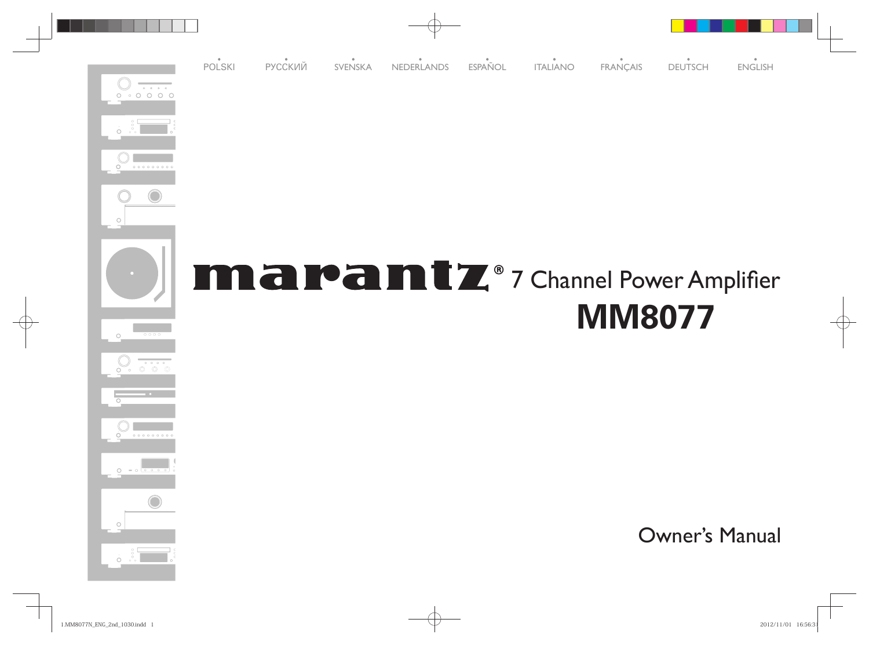

 $\dot{\circ}$  $\dot{\circ}$ 

 $\dot{O} = \circ$ 

Owner's Manual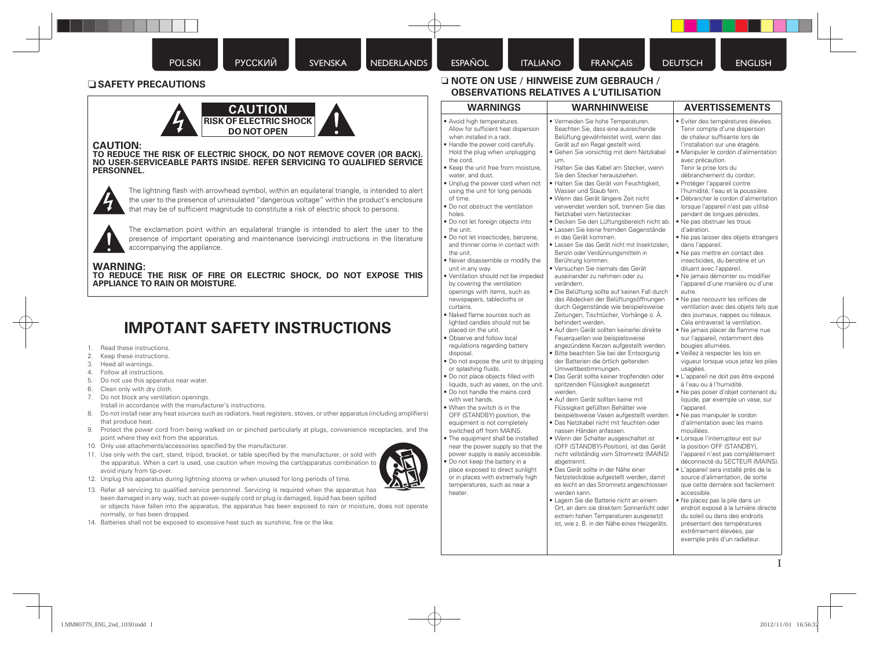### n **SAFETY PRECAUTIONS**



### **CAUTION:**

**TO REDUCE THE RISK OF ELECTRIC SHOCK, DO NOT REMOVE COVER (OR BACK). NO USER-SERVICEABLE PARTS INSIDE. REFER SERVICING TO QUALIFIED SERVICE PERSONNEL.**



The lightning flash with arrowhead symbol, within an equilateral triangle, is intended to alert the user to the presence of uninsulated "dangerous voltage" within the product's enclosure that may be of sufficient magnitude to constitute a risk of electric shock to persons.



The exclamation point within an equilateral triangle is intended to alert the user to the presence of important operating and maintenance (servicing) instructions in the literature accompanying the appliance.

### **WARNING:**

**TO REDUCE THE RISK OF FIRE OR ELECTRIC SHOCK, DO NOT EXPOSE THIS APPLIANCE TO RAIN OR MOISTURE.**

## **IMPOTANT SAFETY INSTRUCTIONS**

- 1. Read these instructions.
- 2. Keep these instructions.
- 3. Heed all warnings.
- 4. Follow all instructions.
- 5. Do not use this apparatus near water.
- 6. Clean only with dry cloth.
- 7. Do not block any ventilation openings. Install in accordance with the manufacturer's instructions.
- 8. Do not install near any heat sources such as radiators, heat registers, stoves, or other apparatus (including amplifiers) that produce heat.
- 9. Protect the power cord from being walked on or pinched particularly at plugs, convenience receptacles, and the point where they exit from the apparatus.
- 10. Only use attachments/accessories specified by the manufacturer.
- 11. Use only with the cart, stand, tripod, bracket, or table specified by the manufacturer, or sold with the apparatus. When a cart is used, use caution when moving the cart/apparatus combination to avoid injury from tip-over.



13. Refer all servicing to qualified service personnel. Servicing is required when the apparatus has been damaged in any way, such as power-supply cord or plug is damaged, liquid has been spilled or objects have fallen into the apparatus, the apparatus has been exposed to rain or moisture, does not operate normally, or has been dropped.

14. Batteries shall not be exposed to excessive heat such as sunshine, fire or the like.

### n **NOTE ON USE / HINWEISE ZUM GEBRAUCH / OBSERVATIONS RELATIVES A L'UTILISATION**

| <b>WARNINGS</b>                                                                                                                                                                                                                                                                                                                                                                                                                                                                                                                                                                                                                                                                                                                                                                                                                                                                                                                                                                                                                                                                                                                                                                                                                                                                                                                                                                                                                                                                                             | <b>WARNHINWEISE</b>                                                                                                                                                                                                                                                                                                                                                                                                                                                                                                                                                                                                                                                                                                                                                                                                                                                                                                                                                                                                                                                                                                                                                                                                                                                                                                                                                                                                                                                                                                                                                                                                                                                                                                                                                                                                                                                                                                                                                                                   | <b>AVERTISSEMENTS</b>                                                                                                                                                                                                                                                                                                                                                                                                                                                                                                                                                                                                                                                                                                                                                                                                                                                                                                                                                                                                                                                                                                                                                                                                                                                                                                                                                                                                                                                                                                                                                                                                                                                                                                                                                                                                  |
|-------------------------------------------------------------------------------------------------------------------------------------------------------------------------------------------------------------------------------------------------------------------------------------------------------------------------------------------------------------------------------------------------------------------------------------------------------------------------------------------------------------------------------------------------------------------------------------------------------------------------------------------------------------------------------------------------------------------------------------------------------------------------------------------------------------------------------------------------------------------------------------------------------------------------------------------------------------------------------------------------------------------------------------------------------------------------------------------------------------------------------------------------------------------------------------------------------------------------------------------------------------------------------------------------------------------------------------------------------------------------------------------------------------------------------------------------------------------------------------------------------------|-------------------------------------------------------------------------------------------------------------------------------------------------------------------------------------------------------------------------------------------------------------------------------------------------------------------------------------------------------------------------------------------------------------------------------------------------------------------------------------------------------------------------------------------------------------------------------------------------------------------------------------------------------------------------------------------------------------------------------------------------------------------------------------------------------------------------------------------------------------------------------------------------------------------------------------------------------------------------------------------------------------------------------------------------------------------------------------------------------------------------------------------------------------------------------------------------------------------------------------------------------------------------------------------------------------------------------------------------------------------------------------------------------------------------------------------------------------------------------------------------------------------------------------------------------------------------------------------------------------------------------------------------------------------------------------------------------------------------------------------------------------------------------------------------------------------------------------------------------------------------------------------------------------------------------------------------------------------------------------------------------|------------------------------------------------------------------------------------------------------------------------------------------------------------------------------------------------------------------------------------------------------------------------------------------------------------------------------------------------------------------------------------------------------------------------------------------------------------------------------------------------------------------------------------------------------------------------------------------------------------------------------------------------------------------------------------------------------------------------------------------------------------------------------------------------------------------------------------------------------------------------------------------------------------------------------------------------------------------------------------------------------------------------------------------------------------------------------------------------------------------------------------------------------------------------------------------------------------------------------------------------------------------------------------------------------------------------------------------------------------------------------------------------------------------------------------------------------------------------------------------------------------------------------------------------------------------------------------------------------------------------------------------------------------------------------------------------------------------------------------------------------------------------------------------------------------------------|
| • Avoid high temperatures.<br>Allow for sufficient heat dispersion<br>when installed in a rack.<br>. Handle the power cord carefully.<br>Hold the plug when unplugging<br>the cord.<br>. Keep the unit free from moisture,<br>water, and dust.<br>. Unplug the power cord when not<br>using the unit for long periods<br>of time.<br>. Do not obstruct the ventilation<br>holes.<br>· Do not let foreign objects into<br>the unit.<br>· Do not let insecticides, benzene,<br>and thinner come in contact with<br>the unit.<br>. Never disassemble or modify the<br>unit in any way.<br>. Ventilation should not be impeded<br>by covering the ventilation<br>openings with items, such as<br>newspapers, tablecloths or<br>curtains.<br>· Naked flame sources such as<br>lighted candles should not be<br>placed on the unit.<br>· Observe and follow local<br>regulations regarding battery<br>disposal.<br>. Do not expose the unit to dripping<br>or splashing fluids.<br>. Do not place objects filled with<br>liquids, such as vases, on the unit.<br>. Do not handle the mains cord<br>with wet hands.<br>. When the switch is in the<br>OFF (STANDBY) position, the<br>equipment is not completely<br>switched off from MAINS.<br>. The equipment shall be installed<br>near the power supply so that the<br>power supply is easily accessible.<br>. Do not keep the battery in a<br>place exposed to direct sunlight<br>or in places with extremely high<br>temperatures, such as near a<br>heater. | • Vermeiden Sie hohe Temperaturen.<br>Beachten Sie, dass eine ausreichende<br>Belüftung gewährleistet wird, wenn das<br>Gerät auf ein Regal gestellt wird.<br>Gehen Sie vorsichtig mit dem Netzkabel<br>um.<br>Halten Sie das Kabel am Stecker, wenn<br>Sie den Stecker herausziehen.<br>· Halten Sie das Gerät von Feuchtigkeit,<br>Wasser und Staub fern.<br>· Wenn das Gerät längere Zeit nicht<br>verwendet werden soll, trennen Sie das<br>Netzkabel vom Netzstecker.<br>· Decken Sie den Lüftungsbereich nicht ab.<br>· Lassen Sie keine fremden Gegenstände<br>in das Gerät kommen.<br>· Lassen Sie das Gerät nicht mit Insektiziden,<br>Benzin oder Verdünnungsmitteln in<br>Berührung kommen.<br>• Versuchen Sie niemals das Gerät<br>auseinander zu nehmen oder zu<br>verändern.<br>· Die Belüftung sollte auf keinen Fall durch<br>das Abdecken der Belüftungsöffnungen<br>durch Gegenstände wie beispielsweise<br>Zeitungen, Tischtücher, Vorhänge o. Ä.<br>behindert werden.<br>· Auf dem Gerät sollten keinerlei direkte<br>Feuerquellen wie beispielsweise<br>angezündete Kerzen aufgestellt werden.<br>· Bitte beachten Sie bei der Entsorgung<br>der Batterien die örtlich geltenden<br>Umweltbestimmungen.<br>· Das Gerät sollte keiner tropfenden oder<br>spritzenden Flüssigkeit ausgesetzt<br>werden.<br>• Auf dem Gerät sollten keine mit<br>Flüssigkeit gefüllten Behälter wie<br>beispielsweise Vasen aufgestellt werden.<br>· Das Netzkabel nicht mit feuchten oder<br>nassen Händen anfassen.<br>• Wenn der Schalter ausgeschaltet ist<br>(OFF (STANDBY)-Position), ist das Gerät<br>nicht vollständig vom Stromnetz (MAINS)<br>abgetrennt.<br>· Das Gerät sollte in der Nähe einer<br>Netzsteckdose aufgestellt werden, damit<br>es leicht an das Stromnetz angeschlossen<br>werden kann.<br>· Lagern Sie die Batterie nicht an einem<br>Ort, an dem sie direktem Sonnenlicht oder<br>extrem hohen Temperaturen ausgesetzt<br>ist, wie z. B. in der Nähe eines Heizgeräts. | · Eviter des températures élevées.<br>Tenir compte d'une dispersion<br>de chaleur suffisante lors de<br>l'installation sur une étagère.<br>· Manipuler le cordon d'alimentation<br>avec précaution.<br>Tenir la prise lors du<br>débranchement du cordon.<br>· Protéger l'appareil contre<br>l'humidité, l'eau et la poussière.<br>· Débrancher le cordon d'alimentation<br>lorsque l'appareil n'est pas utilisé<br>pendant de longues périodes.<br>• Ne pas obstruer les trous<br>d'aération.<br>· Ne pas laisser des objets étrangers<br>dans l'appareil.<br>. Ne pas mettre en contact des<br>insecticides, du benzène et un<br>diluant avec l'appareil.<br>· Ne jamais démonter ou modifier<br>l'appareil d'une manière ou d'une<br>autre.<br>• Ne pas recouvrir les orifices de<br>ventilation avec des objets tels que<br>des journaux, nappes ou rideaux.<br>Cela entraverait la ventilation.<br>· Ne jamais placer de flamme nue<br>sur l'appareil, notamment des<br>bougies allumées.<br>· Veillez à respecter les lois en<br>vigueur lorsque vous jetez les piles<br>usagées.<br>· L'appareil ne doit pas être exposé<br>à l'eau ou à l'humidité.<br>. Ne pas poser d'objet contenant du<br>liquide, par exemple un vase, sur<br>l'appareil.<br>• Ne pas manipuler le cordon<br>d'alimentation avec les mains<br>mouillées.<br>• Lorsque l'interrupteur est sur<br>la position OFF (STANDBY),<br>l'appareil n'est pas complètement<br>déconnecté du SECTEUR (MAINS).<br>· L'appareil sera installé près de la<br>source d'alimentation, de sorte<br>que cette dernière soit facilement<br>accessible.<br>· Ne placez pas la pile dans un<br>endroit exposé à la lumière directe<br>du soleil ou dans des endroits<br>présentant des températures<br>extrêmement élevées, par<br>exemple près d'un radiateur. |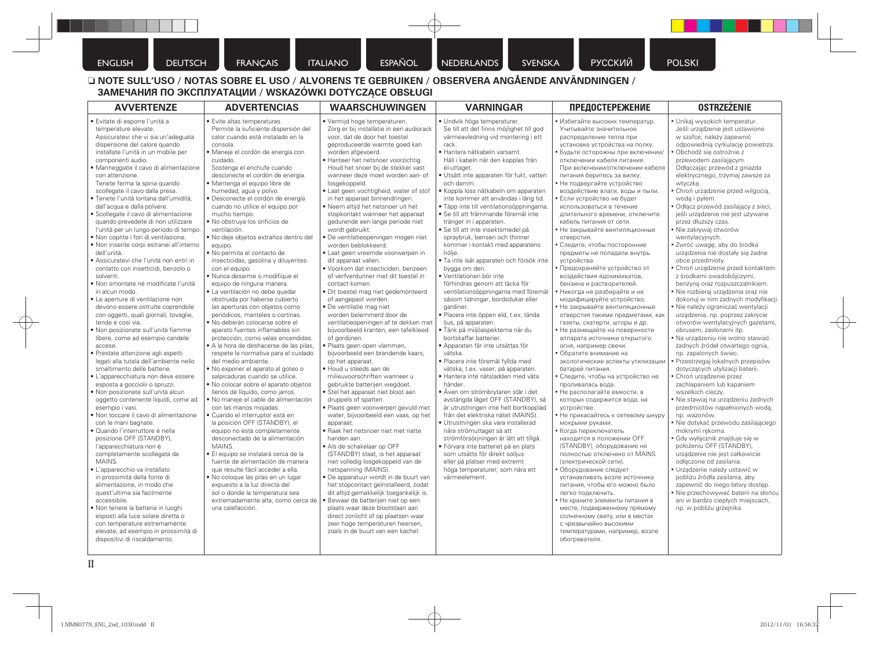ENGLISH DEUTSCH FRANÇAIS ITALIANO ESPAÑOL NEDERLANDS SVENSKA PYCCKИЙ POLSKI

### □ NOTE SULL'USO / NOTAS SOBRE EL USO / ALVORENS TE GEBRUIKEN / OBSERVERA ANGÅENDE ANVÄNDNINGEN / **ЗАМЕЧАНИЯ ПО ЭКСПЛУАТАЦИИ / WSKAZÓWKI DOTYCZĄCE OBSŁUGI**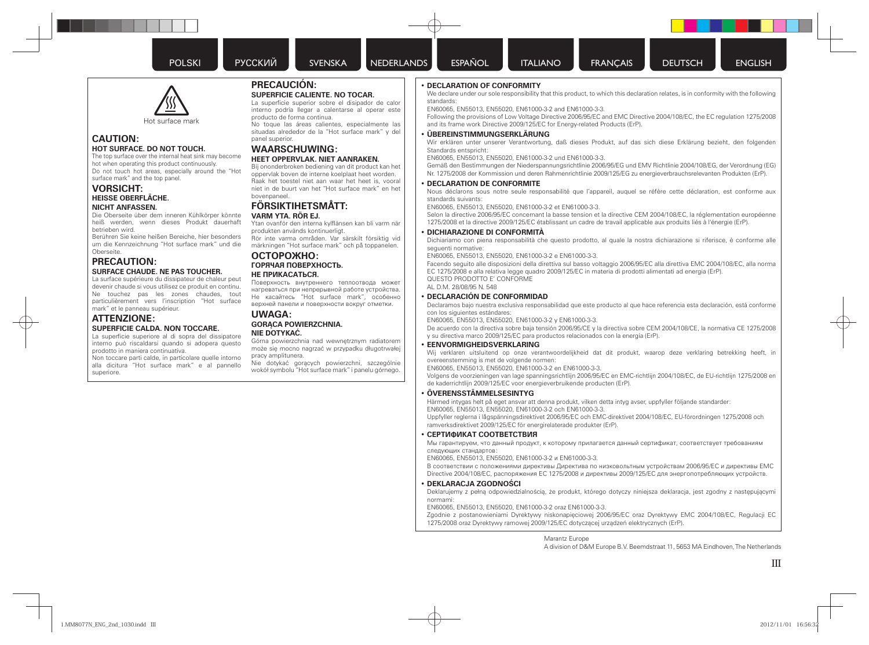

### **CAUTION: HOT SURFACE. DO NOT TOUCH.**

The top surface over the internal heat sink may become hot when operating this product continuously. Do not touch hot areas, especially around the "Hot surface mark" and the top panel.

### **VORSICHT: HEISSE OBERFLÄCHE. NICHT ANFASSEN.**

Die Oberseite über dem inneren Kühlkörper könnte heiß werden, wenn dieses Produkt dauerhaft betrieben wird.

Berühren Sie keine heißen Bereiche, hier besonders um die Kennzeichnung "Hot surface mark" und die Oberseite.

### **PRECAUTION: SURFACE CHAUDE. NE PAS TOUCHER.**

La surface supérieure du dissipateur de chaleur peut devenir chaude si vous utilisez ce produit en continu. Ne touchez pas les zones chaudes, tout particulièrement vers l'inscription "Hot surface mark" et le panneau supérieur.

### **ATTENZIONE: SUPERFICIE CALDA. NON TOCCARE.**

La superficie superiore al di sopra del dissipatore interno può riscaldarsi quando si adopera questo prodotto in maniera continuativa.

Non toccare parti calde, in particolare quelle intorno alla dicitura "Hot surface mark" e al pannello superiore.

### **PRECAUCIÓN:**

### **SUPERFICIE CALIENTE. NO TOCAR.**

La superficie superior sobre el disipador de calor interno podría llegar a calentarse al operar este producto de forma continua.

No toque las áreas calientes, especialmente las situadas alrededor de la "Hot surface mark" y del panel superior.

### **WAARSCHUWING:**

### **HEET OPPERVLAK. NIET AANRAKEN.**

Bij ononderbroken bediening van dit product kan het oppervlak boven de interne koelplaat heet worden. Raak het toestel niet aan waar het heet is, vooral niet in de buurt van het "Hot surface mark" en het bovenpaneel.

### **FÖRSIKTIHETSMÅTT: VARM YTA. RÖR EJ.**

Ytan ovanför den interna kylflänsen kan bli varm när produkten används kontinuerligt.

Rör inte varma områden. Var särskilt försiktig vid märkningen "Hot surface mark" och på toppanelen.

#### **ОСТОРОЖНО: ГОРЯЧАЯ ПОВЕРХНОСТЬ. НЕ ПРИКАСАТЬСЯ.**

Поверхность внутреннего теплоотвода может нагреваться при непрерывной работе устройства. Не касайтесь "Hot surface mark", особенно верхней панели и поверхности вокруг отметки.

### **UWAGA: GORĄCA POWIERZCHNIA.**

### **NIE DOTYKAĆ.**

Górna powierzchnia nad wewnętrznym radiatorem może się mocno nagrzać w przypadku długotrwałej pracy amplitunera.

Nie dotykać gorących powierzchni, szczególnie wokół symbolu "Hot surface mark" i panelu górnego.

### • **DECLARATION OF CONFORMITY**

We declare under our sole responsibility that this product, to which this declaration relates, is in conformity with the following standards:

EN60065, EN55013, EN55020, EN61000-3-2 and EN61000-3-3.

 Following the provisions of Low Voltage Directive 2006/95/EC and EMC Directive 2004/108/EC, the EC regulation 1275/2008 and its frame work Directive 2009/125/EC for Energy-related Products (ErP).

### • **ÜBEREINSTIMMUNGSERKLÄRUNG**

 Wir erklären unter unserer Verantwortung, daß dieses Produkt, auf das sich diese Erklärung bezieht, den folgenden Standards entspricht:

EN60065, EN55013, EN55020, EN61000-3-2 und EN61000-3-3.

 Gemäß den Bestimmungen der Niederspannungsrichtlinie 2006/95/EG und EMV Richtlinie 2004/108/EG, der Verordnung (EG) Nr. 1275/2008 der Kommission und deren Rahmenrichtlinie 2009/125/EG zu energieverbrauchsrelevanten Produkten (ErP).

#### • **DECLARATION DE CONFORMITE**

 Nous déclarons sous notre seule responsabilité que l'appareil, auquel se réfère cette déclaration, est conforme aux standards suivants:

EN60065, EN55013, EN55020, EN61000-3-2 et EN61000-3-3.

 Selon la directive 2006/95/EC concernant la basse tension et la directive CEM 2004/108/EC, la réglementation européenne 1275/2008 et la directive 2009/125/EC établissant un cadre de travail applicable aux produits liés à l'énergie (ErP).

#### • **DICHIARAZIONE DI CONFORMITÀ**

 Dichiariamo con piena responsabilità che questo prodotto, al quale la nostra dichiarazione si riferisce, è conforme alle sequenti normative:

EN60065, EN55013, EN55020, EN61000-3-2 e EN61000-3-3.

 Facendo seguito alle disposizioni della direttiva sul basso voltaggio 2006/95/EC alla direttiva EMC 2004/108/EC, alla norma EC 1275/2008 e alla relativa legge quadro 2009/125/EC in materia di prodotti alimentati ad energia (ErP). QUESTO PRODOTTO E' CONFORME AL D.M. 28/08/95 N. 548

#### • **DECLARACIÓN DE CONFORMIDAD**

Declaramos bajo nuestra exclusiva responsabilidad que este producto al que hace referencia esta declaración, está conforme con los siguientes estándares:

EN60065, EN55013, EN55020, EN61000-3-2 y EN61000-3-3.

De acuerdo con la directiva sobre baja tensión 2006/95/CE y la directiva sobre CEM 2004/108/CE, la normativa CE 1275/2008 y su directiva marco 2009/125/EC para productos relacionados con la energía (ErP).

#### • **EENVORMIGHEIDSVERKLARING**

Wij verklaren uitsluitend op onze verantwoordelijkheid dat dit produkt, waarop deze verklaring betrekking heeft, in overeenstemming is met de volgende normen:

EN60065, EN55013, EN55020, EN61000-3-2 en EN61000-3-3.

Volgens de voorzieningen van lage spanningsrichtlijn 2006/95/EC en EMC-richtlijn 2004/108/EC, de EU-richtlijn 1275/2008 en de kaderrichtlijn 2009/125/EC voor energieverbruikende producten (ErP).

#### • **ÖVERENSSTÄMMELSESINTYG**

Härmed intygas helt på eget ansvar att denna produkt, vilken detta intyg avser, uppfyller följande standarder: EN60065, EN55013, EN55020, EN61000-3-2 och EN61000-3-3.

Uppfyller reglerna i lågspänningsdirektivet 2006/95/EC och EMC-direktivet 2004/108/EC, EU-förordningen 1275/2008 och ramverksdirektivet 2009/125/EC för energirelaterade produkter (ErP).

#### • **СЕРТИФИКАТ СООТВЕТСТВИЯ**

Мы гарантируем, что данный продукт, к которому прилагается данный сертификат, соответствует требованиям следующих стандартов:

EN60065, EN55013, EN55020, EN61000-3-2 и EN61000-3-3.

В соответствии с положениями директивы Директива по низковольтным устройствам 2006/95/EC и директивы EMC Directive 2004/108/EC, распоряжения ЕС 1275/2008 и директивы 2009/125/EC для энергопотребляющих устройств.

#### • **DEKLARACJA ZGODNOŚCI**

 Deklarujemy z pełną odpowiedzialnością, że produkt, którego dotyczy niniejsza deklaracja, jest zgodny z następującymi normami:

EN60065, EN55013, EN55020, EN61000-3-2 oraz EN61000-3-3.

 Zgodnie z postanowieniami Dyrektywy niskonapięciowej 2006/95/EC oraz Dyrektywy EMC 2004/108/EC, Regulacji EC 1275/2008 oraz Dyrektywy ramowej 2009/125/EC dotyczącej urządzeń elektrycznych (ErP).

Marantz Europe

A division of D&M Europe B.V. Beemdstraat 11, 5653 MA Eindhoven, The Netherlands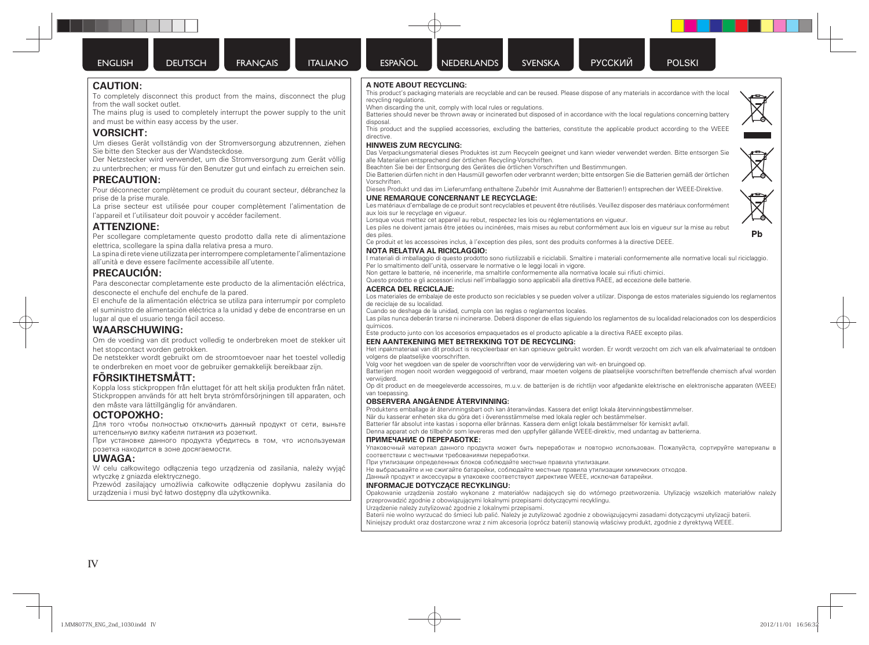**CAUTION:**

**VORSICHT:**

**PRECAUTION:**

**ATTENZIONE:**

**PRECAUCIÓN:**

**WAARSCHUWING:**

prise de la prise murale.

from the wall socket outlet.

and must be within easy access by the user.

Sie bitte den Stecker aus der Wandsteckdose.

l'appareil et l'utilisateur doit pouvoir y accéder facilement.

elettrica, scollegare la spina dalla relativa presa a muro.

all'unità e deve essere facilmente accessibile all'utente.

desconecte el enchufe del enchufe de la pared.

lugar al que el usuario tenga fácil acceso.

den måste vara lättillgänglig för användaren.

розетка находится в зоне досягаемости.

wtyczkę z gniazda elektrycznego.

штепсельную вилку кабеля питания из розеткиt.

urządzenia i musi być łatwo dostępny dla użytkownika.

het stopcontact worden getrokken.

**FÖRSIKTIHETSMÅTT:**

**ОСТОРОЖНО:**

**UWAGA:**

To completely disconnect this product from the mains, disconnect the plug

The mains plug is used to completely interrupt the power supply to the unit

Um dieses Gerät vollständig von der Stromversorgung abzutrennen, ziehen

Der Netzstecker wird verwendet, um die Stromversorgung zum Gerät völlig zu unterbrechen; er muss für den Benutzer gut und einfach zu erreichen sein.

Pour déconnecter complètement ce produit du courant secteur, débranchez la

La prise secteur est utilisée pour couper complètement l'alimentation de

Per scollegare completamente questo prodotto dalla rete di alimentazione

La spina di rete viene utilizzata per interrompere completamente l'alimentazione

Para desconectar completamente este producto de la alimentación eléctrica,

El enchufe de la alimentación eléctrica se utiliza para interrumpir por completo el suministro de alimentación eléctrica a la unidad y debe de encontrarse en un

Om de voeding van dit product volledig te onderbreken moet de stekker uit

De netstekker wordt gebruikt om de stroomtoevoer naar het toestel volledig te onderbreken en moet voor de gebruiker gemakkelijk bereikbaar zijn.

Koppla loss stickproppen från eluttaget för att helt skilja produkten från nätet. Stickproppen används för att helt bryta strömförsörjningen till apparaten, och

Для того чтобы полностью отключить данный продукт от сети, выньте

При установке данного продукта убедитесь в том, что используемая

W celu całkowitego odłączenia tego urządzenia od zasilania, należy wyjąć

Przewód zasilający umożliwia całkowite odłączenie dopływu zasilania do

disposal.

recycling regulations.

**A NOTE ABOUT RECYCLING:**

When discarding the unit, comply with local rules or regulations.



directive. **HINWEIS ZUM RECYCLING:**

Das Verpackungsmaterial dieses Produktes ist zum Recyceln geeignet und kann wieder verwendet werden. Bitte entsorgen Sie alle Materialien entsprechend der örtlichen Recycling-Vorschriften.

This product's packaging materials are recyclable and can be reused. Please dispose of any materials in accordance with the local

Batteries should never be thrown away or incinerated but disposed of in accordance with the local regulations concerning battery

This product and the supplied accessories, excluding the batteries, constitute the applicable product according to the WEEE

Beachten Sie bei der Entsorgung des Gerätes die örtlichen Vorschriften und Bestimmungen.

Die Batterien dürfen nicht in den Hausmüll geworfen oder verbrannt werden; bitte entsorgen Sie die Batterien gemäß der örtlichen Vorschriften.

### Dieses Produkt und das im Lieferumfang enthaltene Zubehör (mit Ausnahme der Batterien!) entsprechen der WEEE-Direktive.

### **UNE REMARQUE CONCERNANT LE RECYCLAGE:**

Les matériaux d'emballage de ce produit sont recyclables et peuvent être réutilisés. Veuillez disposer des matériaux conformément aux lois sur le recyclage en vigueur.

Lorsque vous mettez cet appareil au rebut, respectez les lois ou réglementations en vigueur.

Les piles ne doivent jamais être jetées ou incinérées, mais mises au rebut conformément aux lois en vigueur sur la mise au rebut des piles.

Ce produit et les accessoires inclus, à l'exception des piles, sont des produits conformes à la directive DEEE.

#### **NOTA RELATIVA AL RICICLAGGIO:**

I materiali di imballaggio di questo prodotto sono riutilizzabili e riciclabili. Smaltire i materiali conformemente alle normative locali sul riciclaggio. Per lo smaltimento dell'unità, osservare le normative o le leggi locali in vigore.

Non gettare le batterie, né incenerirle, ma smaltirle conformemente alla normativa locale sui rifiuti chimici.

Questo prodotto e gli accessori inclusi nell'imballaggio sono applicabili alla direttiva RAEE, ad eccezione delle batterie.

#### **ACERCA DEL RECICLAJE:**

Los materiales de embalaje de este producto son reciclables y se pueden volver a utilizar. Disponga de estos materiales siguiendo los reglamentos de reciclaje de su localidad.

Cuando se deshaga de la unidad, cumpla con las reglas o reglamentos locales.

Las pilas nunca deberán tirarse ni incinerarse. Deberá disponer de ellas siguiendo los reglamentos de su localidad relacionados con los desperdicios químicos.

Este producto junto con los accesorios empaquetados es el producto aplicable a la directiva RAEE excepto pilas.

#### **EEN AANTEKENING MET BETREKKING TOT DE RECYCLING:**

Het inpakmateriaal van dit product is recycleerbaar en kan opnieuw gebruikt worden. Er wordt verzocht om zich van elk afvalmateriaal te ontdoen volgens de plaatselijke voorschriften.

Volg voor het wegdoen van de speler de voorschriften voor de verwijdering van wit- en bruingoed op.

Batterijen mogen nooit worden weggegooid of verbrand, maar moeten volgens de plaatselijke voorschriften betreffende chemisch afval worden verwijderd.

Op dit product en de meegeleverde accessoires, m.u.v. de batterijen is de richtlijn voor afgedankte elektrische en elektronische apparaten (WEEE) van toepassing.

#### **OBSERVERA ANGÅENDE ÅTERVINNING:**

Produktens emballage är återvinningsbart och kan återanvändas. Kassera det enligt lokala återvinningsbestämmelser.

När du kasserar enheten ska du göra det i överensstämmelse med lokala regler och bestämmelser.

Batterier får absolut inte kastas i soporna eller brännas. Kassera dem enligt lokala bestämmelser för kemiskt avfall.

Denna apparat och de tillbehör som levereras med den uppfyller gällande WEEE-direktiv, med undantag av batterierna.

#### **ПРИМЕЧАНИЕ О ПЕРЕРАБОТКЕ:**

Упаковочный материал данного продукта может быть переработан и повторно использован. Пожалуйста, сортируйте материалы в соответствии с местными требованиями переработки.

При утилизации определенных блоков соблюдайте местные правила утилизации.

Не выбрасывайте и не сжигайте батарейки, соблюдайте местные правила утилизации химических отходов.

Данный продукт и аксессуары в упаковке соответствуют директиве WEEE, исключая батарейки.

#### **INFORMACJE DOTYCZĄCE RECYKLINGU:**

Opakowanie urządzenia zostało wykonane z materiałów nadających się do wtórnego przetworzenia. Utylizację wszelkich materiałów należy przeprowadzić zgodnie z obowiązującymi lokalnymi przepisami dotyczącymi recyklingu.

Urządzenie należy zutylizować zgodnie z lokalnymi przepisami.

Baterii nie wolno wyrzucać do śmieci lub palić. Należy je zutylizować zgodnie z obowiązującymi zasadami dotyczącymi utylizacji baterii. Niniejszy produkt oraz dostarczone wraz z nim akcesoria (oprócz baterii) stanowią właściwy produkt, zgodnie z dyrektywą WEEE.



P<sub>b</sub>

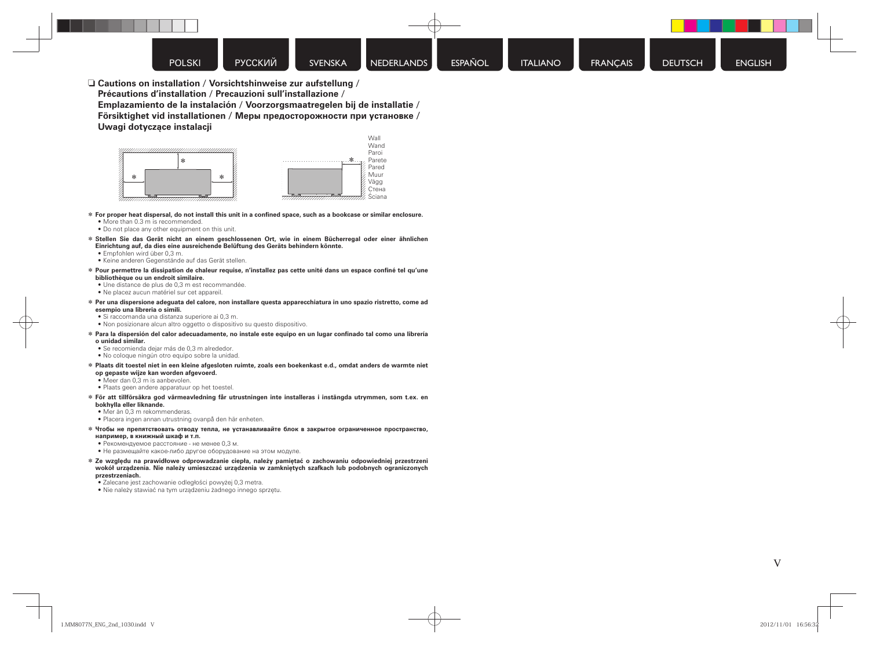n **Cautions on installation / Vorsichtshinweise zur aufstellung / Précautions d'installation / Precauzioni sull'installazione / Emplazamiento de la instalación / Voorzorgsmaatregelen bij de installatie / Försiktighet vid installationen / Меры предосторожности при установке / Uwagi dotycz ące instalacji**



- $*$  For proper heat dispersal, do not install this unit in a confined space, such as a bookcase or similar enclosure.
	- More than 0.3 m is recommended.
	- Do not place any other equipment on this unit.
- z **Stellen Sie das Gerät nicht an einem geschlossenen Ort, wie in einem Bücherregal oder einer ähnlichen Einrichtung auf, da dies eine ausreichende Belüftung des Geräts behindern könnte.**
	- Empfohlen wird über 0,3 m.
	- Keine anderen Gegenstände auf das Gerät stellen.
- z **Pour permettre la dissipation de chaleur requise, n'installez pas cette unité dans un espace con fi né tel qu'une bibliothèque ou un endroit similaire.**
- Une distance de plus de 0,3 m est recommandée.
- Ne placez aucun matériel sur cet appareil.
- z **Per una dispersione adeguata del calore, non installare questa apparecchiatura in uno spazio ristretto, come ad esempio una libreria o simili.**
	- Si raccomanda una distanza superiore ai 0,3 m.
	- Non posizionare alcun altro oggetto o dispositivo su questo dispositivo.
- z **Para la dispersión del calor adecuadamente, no instale este equipo en un lugar con fi nado tal como una librería o unidad similar.**
	- Se recomienda dejar más de 0,3 m alrededor.
	- No coloque ningún otro equipo sobre la unidad.
- z **Plaats dit toestel niet in een kleine afgesloten ruimte, zoals een boekenkast e.d., omdat anders de warmte niet op gepaste wijze kan worden afgevoerd.**
	- Meer dan 0,3 m is aanbevolen.
	- Plaats geen andere apparatuur op het toestel.
- z **För att tillförsäkra god värmeavledning får utrustningen inte installeras i instängda utrymmen, som t.ex. en bokhylla eller liknande.**
	- Mer än 0,3 m rekommenderas.
	- Placera ingen annan utrustning ovanpå den här enheten.
- z **Чтобы не препятствовать отводу тепла, не устанавливайте блок в закрытое ограниченное пространство, например, в книжный шкаф и т . п .**
	- Рекомендуемое расстояние не менее 0,3 м .
	- Не размещайте какое-либо другое оборудование на этом модуле.
- $*$  Ze względu na prawidłowe odprowadzanie ciepła, należy pamiętać o zachowaniu odpowiedniej przestrzeni **wokó ł urz ądzenia. Nie nale ży umieszcza ć urz ądzenia w zamkni ętych szafkach lub podobnych ograniczonych przestrzeniach.**
	- Zalecane jest zachowanie odleg ł o ści powy żej 0,3 metra.
	- Nie należy stawiać na tym urządzeniu żadnego innego sprzętu.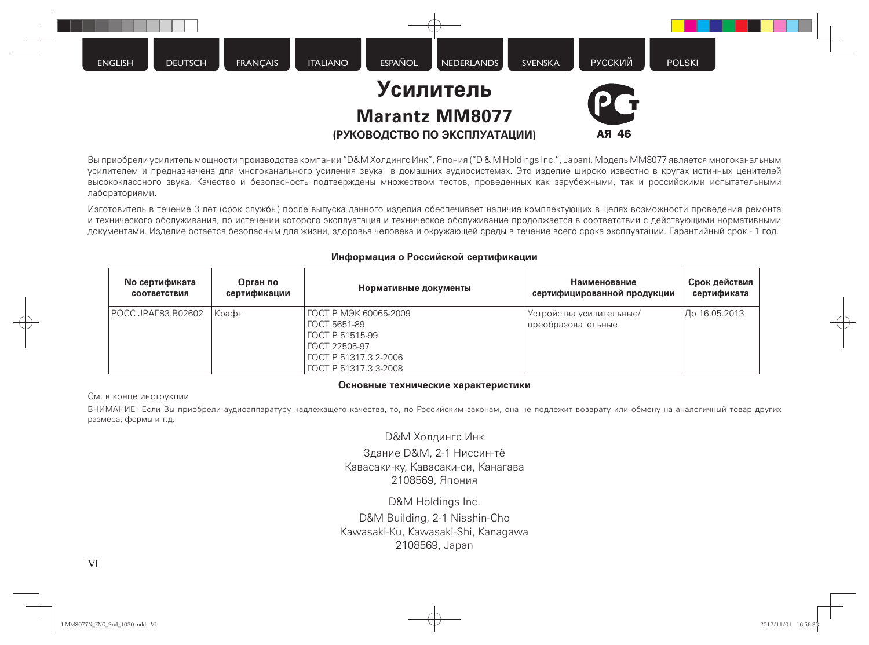

Вы приобрели усилитель мощности производства компании "D&M Холдингс Инк", Япония ("D & M Holdings Inc.", Japan). Модель MM8077 является многоканальным усилителем и предназначена для многоканального усиления звука в домашних аудиосистемах. Это изделие широко известно в кругах истинных ценителей высококлассного звука. Качество и безопасность подтверждены множеством тестов, проведенных как зарубежными, так и российскими испытательными лабораториями.

Изготовитель в течение 3 лет (срок службы) после выпуска данного изделия обеспечивает наличие комплектующих в целях возможности проведения ремонта и технического обслуживания, по истечении которого эксплуатация и техническое обслуживание продолжается в соответствии с действующими нормативными документами. Изделие остается безопасным для жизни, здоровья человека и окружающей среды в течение всего срока эксплуатации. Гарантийный срок - 1 год.

| <b>No сертификата</b> | Орган по     | Нормативные документы                                                                                                               | Наименование                                     | Срок действия |
|-----------------------|--------------|-------------------------------------------------------------------------------------------------------------------------------------|--------------------------------------------------|---------------|
| <b>СООТВЕТСТВИЯ</b>   | сертификации |                                                                                                                                     | сертифицированной продукции                      | сертификата   |
| POCC JP.AF83.B02602   | Крафт        | ГОСТ Р МЭК 60065-2009<br>  ГОСТ 5651-89<br>  ГОСТ Р 51515-99<br>I ГОСТ 22505-97<br>  FOCT P 51317.3.2-2006<br>FOCT P 51317.3.3-2008 | Устройства усилительные/<br>  преобразовательные | До 16.05.2013 |

### **Информация о Российской сертификации**

### **Основные технические характеристики**

См. в конце инструкции

ВНИМАНИЕ: Если Вы приобрели аудиоаппаратуру надлежащего качества, то, по Российским законам, она не подлежит возврату или обмену на аналогичный товар других размера, формы и т.д.

D&M Холдингс Инк

Здание D&M, 2-1 Ниссин-тё Кавасаки-ку, Кавасаки-си, Канагава 2108569, Япония

D&M Holdings Inc. D&M Building, 2-1 Nisshin-Cho Kawasaki-Ku, Kawasaki-Shi, Kanagawa 2108569, Japan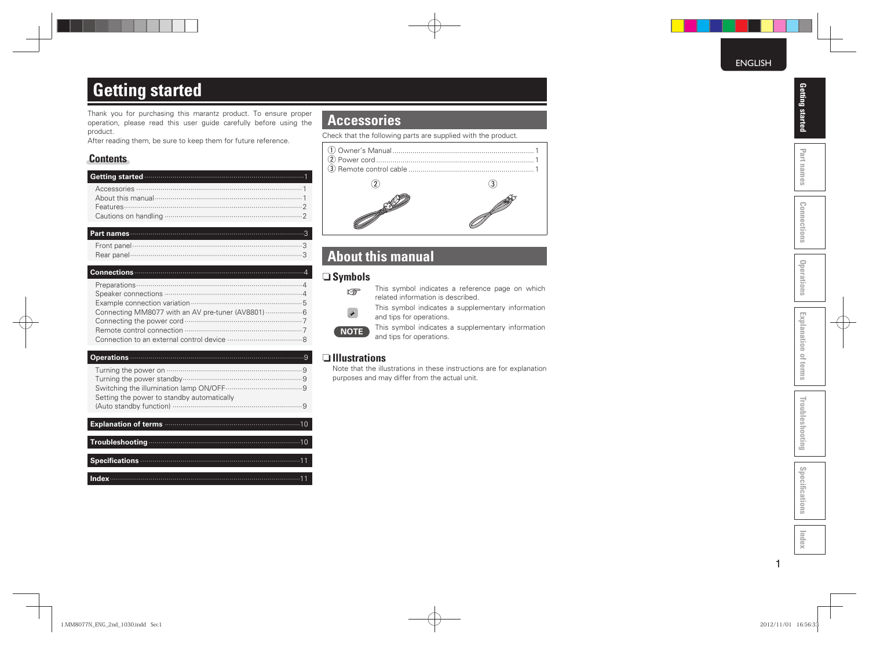## **Getting started**

Thank you for purchasing this marantz product. To ensure proper operation, please read this user guide carefully before using the product.

After reading them, be sure to keep them for future reference.

### **Contents**

| Getting started <b>contract of the contract of the started</b> 1 |
|------------------------------------------------------------------|
|                                                                  |
|                                                                  |
|                                                                  |
|                                                                  |
|                                                                  |

#### **Part names** ······················································································3

#### **Connections** ····················································································4

#### **Operations** ······················································································9

| <b>Explanation of terms manufactures</b> manufactures and 10 |
|--------------------------------------------------------------|
|                                                              |
|                                                              |
|                                                              |
|                                                              |
|                                                              |
|                                                              |

**Index** ······························································································11

### **Accessories**

Check that the following parts are supplied with the product.



### **About this manual**

### □ Symbols



- This symbol indicates a reference page on which related information is described.
	- This symbol indicates a supplementary information and tips for operations.

**NOTE** This symbol indicates a supplementary information and tips for operations.

### $\Box$  Illustrations

Note that the illustrations in these instructions are for explanation purposes and may differ from the actual unit.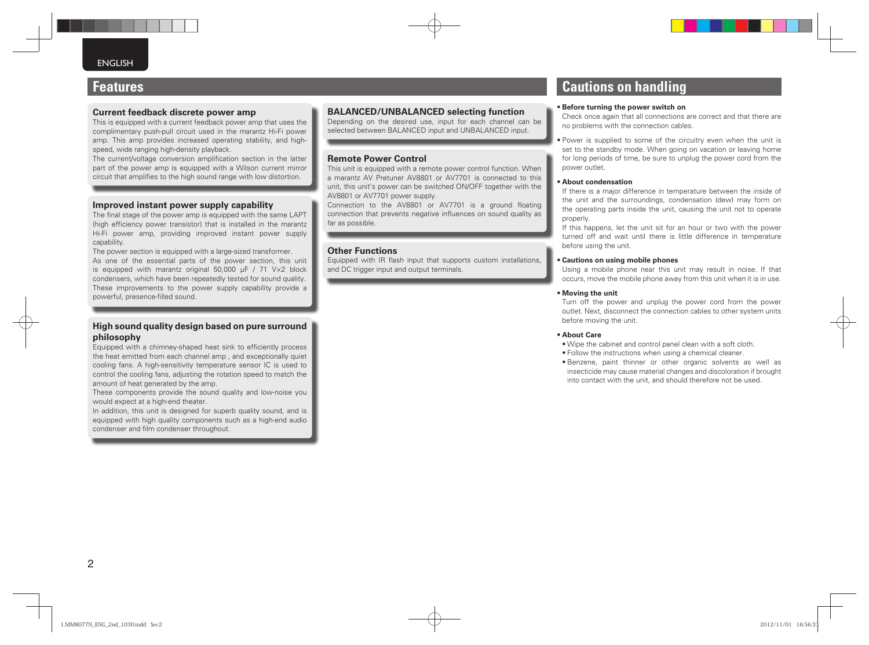### **Features**

### **Current feedback discrete power amp**

This is equipped with a current feedback power amp that uses the complimentary push-pull circuit used in the marantz Hi-Fi power amp. This amp provides increased operating stability, and highspeed, wide ranging high-density playback.

The current/voltage conversion amplification section in the latter part of the power amp is equipped with a Wilson current mirror circuit that amplifies to the high sound range with low distortion.

### **Improved instant power supply capability**

The final stage of the power amp is equipped with the same LAPT (high efficiency power transistor) that is installed in the marantz Hi-Fi power amp, providing improved instant power supply capability.

The power section is equipped with a large-sized transformer. As one of the essential parts of the power section, this unit is equipped with marantz original 50,000 μF / 71 V×2 block condensers, which have been repeatedly tested for sound quality. These improvements to the power supply capability provide a powerful, presence-filled sound.

### **High sound quality design based on pure surround philosophy**

Equipped with a chimney-shaped heat sink to efficiently process the heat emitted from each channel amp , and exceptionally quiet cooling fans. A high-sensitivity temperature sensor IC is used to control the cooling fans, adjusting the rotation speed to match the amount of heat generated by the amp.

These components provide the sound quality and low-noise you would expect at a high-end theater.

In addition, this unit is designed for superb quality sound, and is equipped with high quality components such as a high-end audio condenser and film condenser throughout.

### **BALANCED/UNBALANCED selecting function**

Depending on the desired use, input for each channel can be selected between BALANCED input and UNBALANCED input.

### **Remote Power Control**

This unit is equipped with a remote power control function. When a marantz AV Pretuner AV8801 or AV7701 is connected to this unit, this unit's power can be switched ON/OFF together with the AV8801 or AV7701 power supply.

Connection to the AV8801 or AV7701 is a ground floating connection that prevents negative influences on sound quality as far as possible.

### **Other Functions**

Equipped with IR flash input that supports custom installations. and DC trigger input and output terminals.

### **Cautions on handling**

#### • **Before turning the power switch on**

Check once again that all connections are correct and that there are no problems with the connection cables.

• Power is supplied to some of the circuitry even when the unit is set to the standby mode. When going on vacation or leaving home for long periods of time, be sure to unplug the power cord from the power outlet.

#### • **About condensation**

If there is a major difference in temperature between the inside of the unit and the surroundings, condensation (dew) may form on the operating parts inside the unit, causing the unit not to operate properly.

If this happens, let the unit sit for an hour or two with the power turned off and wait until there is little difference in temperature before using the unit.

#### • **Cautions on using mobile phones**

Using a mobile phone near this unit may result in noise. If that occurs, move the mobile phone away from this unit when it is in use.

#### • **Moving the unit**

Turn off the power and unplug the power cord from the power outlet. Next, disconnect the connection cables to other system units before moving the unit.

#### • **About Care**

• Wipe the cabinet and control panel clean with a soft cloth.

- Follow the instructions when using a chemical cleaner.
- Benzene, paint thinner or other organic solvents as well as insecticide may cause material changes and discoloration if brought into contact with the unit, and should therefore not be used.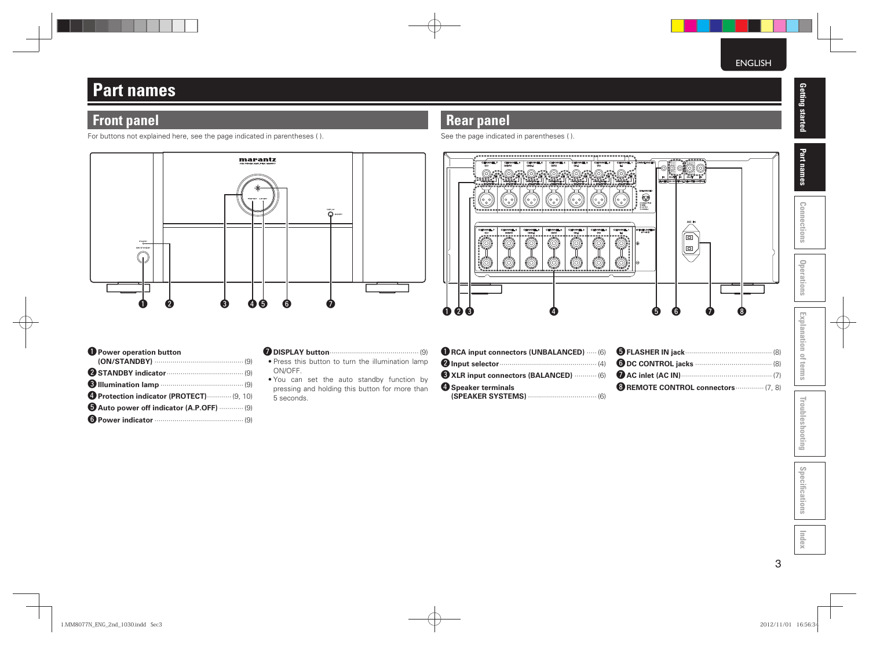## **Part names**

### **Front panel**

For buttons not explained here, see the page indicated in parentheses ( ).



| Power operation button                  |
|-----------------------------------------|
|                                         |
| STANDBY indicator (9)                   |
|                                         |
| Protection indicator (PROTECT)  (9, 10) |
| Auto power off indicator (A.P.OFF)  (9) |
|                                         |
|                                         |

### u **DISPLAY button** ············································ (9)

- Press this button to turn the illumination lamp ON/OFF.
- You can set the auto standby function by pressing and holding this button for more than 5 seconds.

| RCA input connectors (UNBALANCED)  (6) |  |
|----------------------------------------|--|
| $\bullet$ Input selector $(4)$         |  |
| XLR input connectors (BALANCED)  (6)   |  |
| 4 Speaker terminals                    |  |
|                                        |  |

q w e r t y u i

O

KANNEL1<br>(L)

(6

 $\overline{3}$ 

**PEAGER SYST** 

: 0:8

(ANNE)<br>(R)<br>= = =

(0)

 $\mathbb{Q}$ 

**CHANNEL S**<br>
(SL)<br>
= = <u>= =</u> = = =

(0)

Ö

CHANNEL4<br>(SR)<br>= = = = =

0

(O)

 **Rear panel**

 $\circledcirc$ 

**ANN**<br>(C)

See the page indicated in parentheses ( ).

CHANNEL

(O)

(ANNEL)<br>(SBL)

0

| <b>B</b> REMOTE CONTROL connectors  (7, 8) |  |
|--------------------------------------------|--|

 $\bigcap_{n=1}^{\infty}$ 

痼

e

# Connections **Connections**

Part names

**Operations**

**Explanation of terms**

**Explanation of terms** 

**Troubleshooting**

Troubleshooting

**Specifi cations**

Specifications

**Index**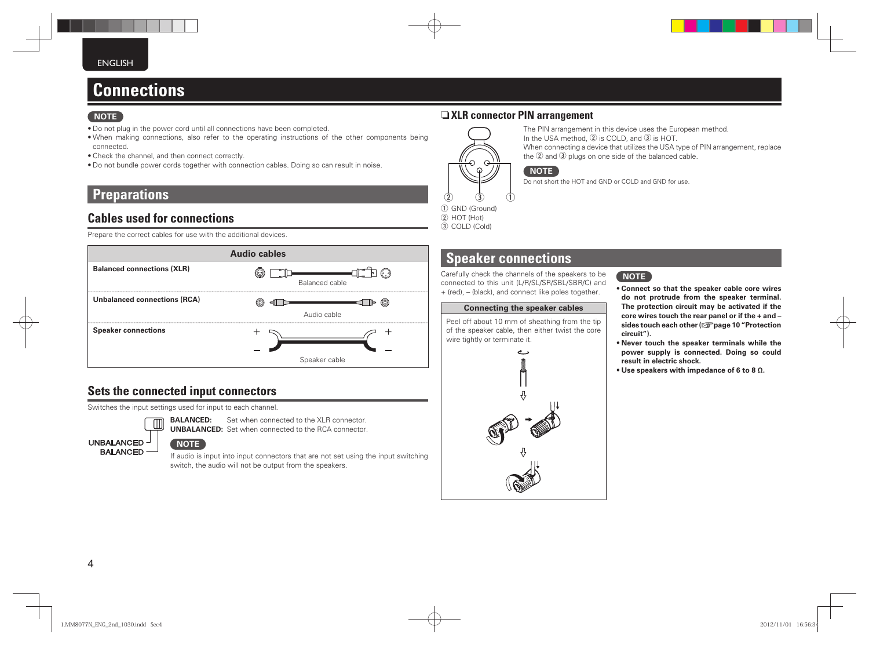## **Connections**

### **NOTE**

- Do not plug in the power cord until all connections have been completed.
- When making connections, also refer to the operating instructions of the other components being connected.
- Check the channel, and then connect correctly.
- Do not bundle power cords together with connection cables. Doing so can result in noise.

### **Preparations**

### **Cables used for connections**

Prepare the correct cables for use with the additional devices.



### **Sets the connected input connectors**

Switches the input settings used for input to each channel.



**BALANCED:** Set when connected to the XLR connector. **UNBALANCED:** Set when connected to the RCA connector.

**UNBALANCED BAI ANCED**   $^{\prime}$  NOTE  $^{\prime}$ 

If audio is input into input connectors that are not set using the input switching switch, the audio will not be output from the speakers.

### n **XLR connector PIN arrangement**



 $(2)$  HOT (Hot) 3 COLD (Cold)

The PIN arrangement in this device uses the European method. In the USA method,  $\overline{2}$  is COLD, and  $\overline{3}$  is HOT. When connecting a device that utilizes the USA type of PIN arrangement, replace the  $\overline{2}$  and  $\overline{3}$  plugs on one side of the balanced cable.

**NOTE** Do not short the HOT and GND or COLD and GND for use.

## **Speaker connections**

Carefully check the channels of the speakers to be connected to this unit (L/R/SL/SR/SBL/SBR/C) and + (red), – (black), and connect like poles together.

### **Connecting the speaker cables**

Peel off about 10 mm of sheathing from the tip of the speaker cable, then either twist the core wire tightly or terminate it.





- **Connect so that the speaker cable core wires do not protrude from the speaker terminal. The protection circuit may be activated if the core wires touch the rear panel or if the + and – sides touch each other (**v**page 10 "Protection circuit").**
- **Never touch the speaker terminals while the power supply is connected. Doing so could result in electric shock.**
- **Use speakers with impedance of 6 to 8 Ω.**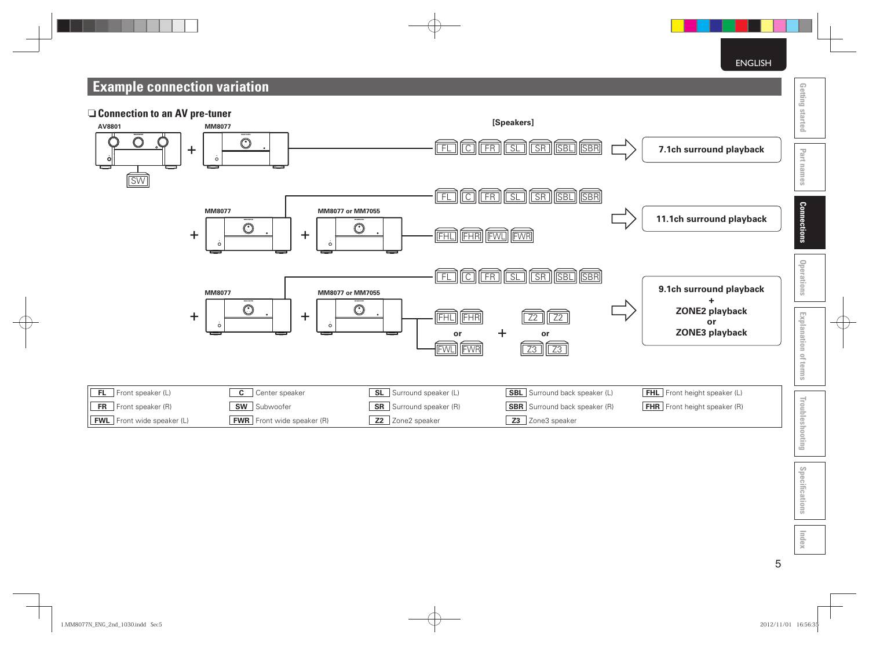ENGLISH

## **Example connection variation**





**Connections**

**Index**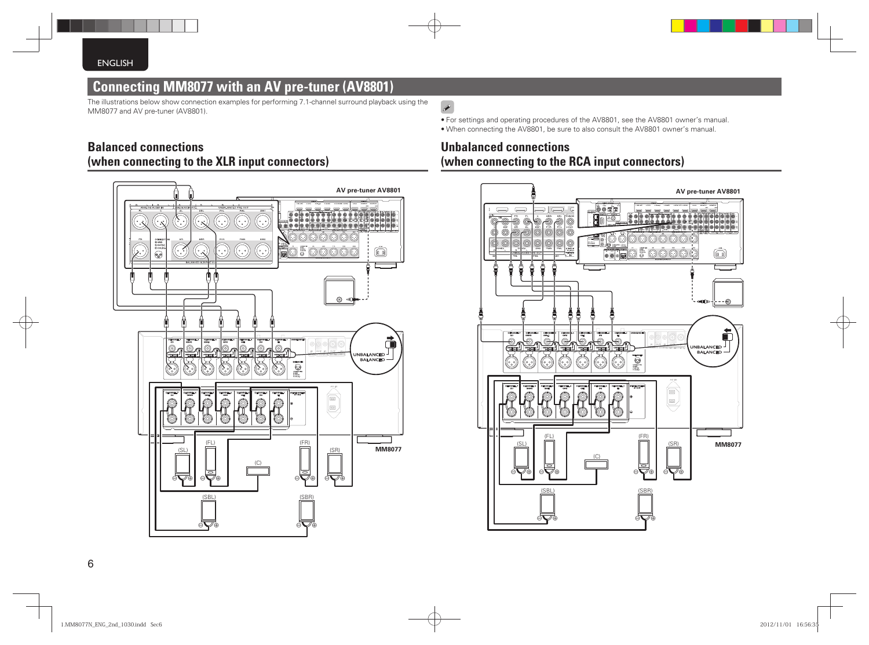### **Connecting MM8077 with an AV pre-tuner (AV8801)**

The illustrations below show connection examples for performing 7.1-channel surround playback using the MM8077 and AV pre-tuner (AV8801).

### **Balanced connections (when connecting to the XLR input connectors)**



### $\begin{picture}(20,20) \put(0,0){\line(1,0){10}} \put(15,0){\line(1,0){10}} \put(15,0){\line(1,0){10}} \put(15,0){\line(1,0){10}} \put(15,0){\line(1,0){10}} \put(15,0){\line(1,0){10}} \put(15,0){\line(1,0){10}} \put(15,0){\line(1,0){10}} \put(15,0){\line(1,0){10}} \put(15,0){\line(1,0){10}} \put(15,0){\line(1,0){10}} \put(15,0){\line(1$

• For settings and operating procedures of the AV8801, see the AV8801 owner's manual. • When connecting the AV8801, be sure to also consult the AV8801 owner's manual.

### **Unbalanced connections (when connecting to the RCA input connectors)**

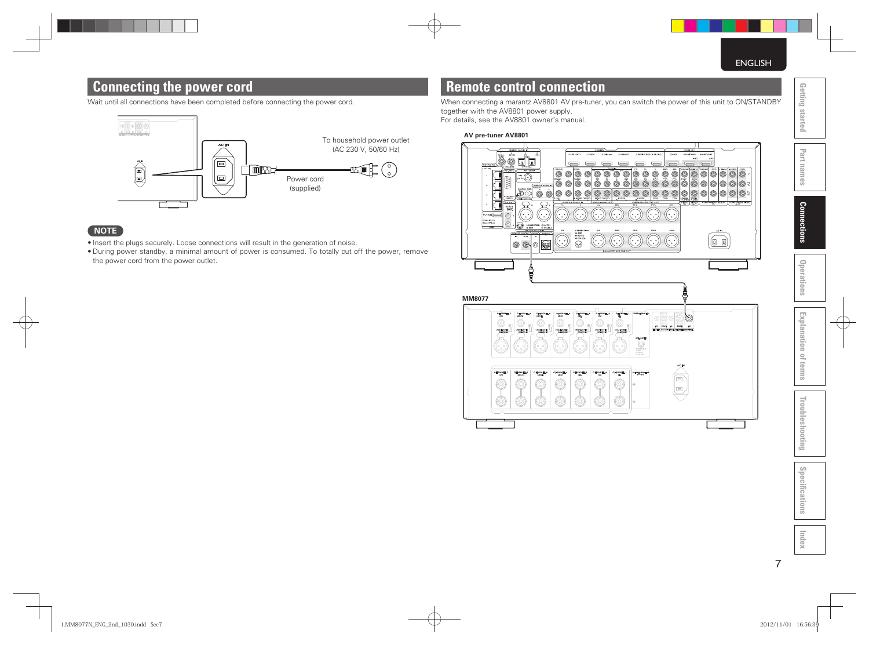### **Connecting the power cord**

Wait until all connections have been completed before connecting the power cord.



### **NOTE**

- Insert the plugs securely. Loose connections will result in the generation of noise.
- During power standby, a minimal amount of power is consumed. To totally cut off the power, remove the power cord from the power outlet.

### **Remote control connection**

When connecting a marantz AV8801 AV pre-tuner, you can switch the power of this unit to ON/STANDBY together with the AV8801 power supply. For details, see the AV8801 owner's manual.

### **AV pre-tuner AV8801**



Part names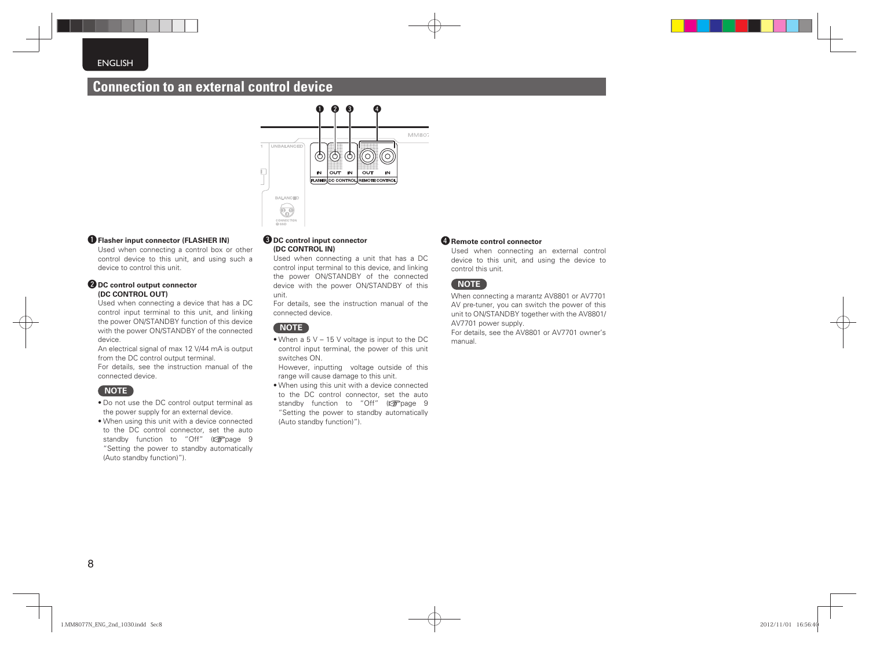### **Connection to an external control device**



### $\bullet$  **Flasher input connector (FLASHER IN)**

Used when connecting a control box or other control device to this unit, and using such a device to control this unit.

#### **@DC control output connector (DC CONTROL OUT)**

Used when connecting a device that has a DC control input terminal to this unit, and linking the power ON/STANDBY function of this device with the power ON/STANDBY of the connected device.

An electrical signal of max 12 V/44 mA is output from the DC control output terminal. For details, see the instruction manual of the connected device.

### **NOTE**

- Do not use the DC control output terminal as the power supply for an external device.
- When using this unit with a device connected to the DC control connector, set the auto standby function to "Off" (verage 9 "Setting the power to standby automatically (Auto standby function)").

#### **ODC** control input connector **(DC CONTROL IN)**

Used when connecting a unit that has a DC control input terminal to this device, and linking the power ON/STANDBY of the connected device with the power ON/STANDBY of this unit.

For details, see the instruction manual of the connected device.

### **NOTE**

- When a 5 V 15 V voltage is input to the DC control input terminal, the power of this unit switches ON.
- However, inputting voltage outside of this range will cause damage to this unit.
- When using this unit with a device connected to the DC control connector, set the auto standby function to "Off" (variage 9 "Setting the power to standby automatically (Auto standby function)").

### *<u>A</u>* Remote control connector

Used when connecting an external control device to this unit, and using the device to control this unit.

### **NOTE**

When connecting a marantz AV8801 or AV7701 AV pre-tuner, you can switch the power of this unit to ON/STANDBY together with the AV8801/ AV7701 power supply. For details, see the AV8801 or AV7701 owner's manual.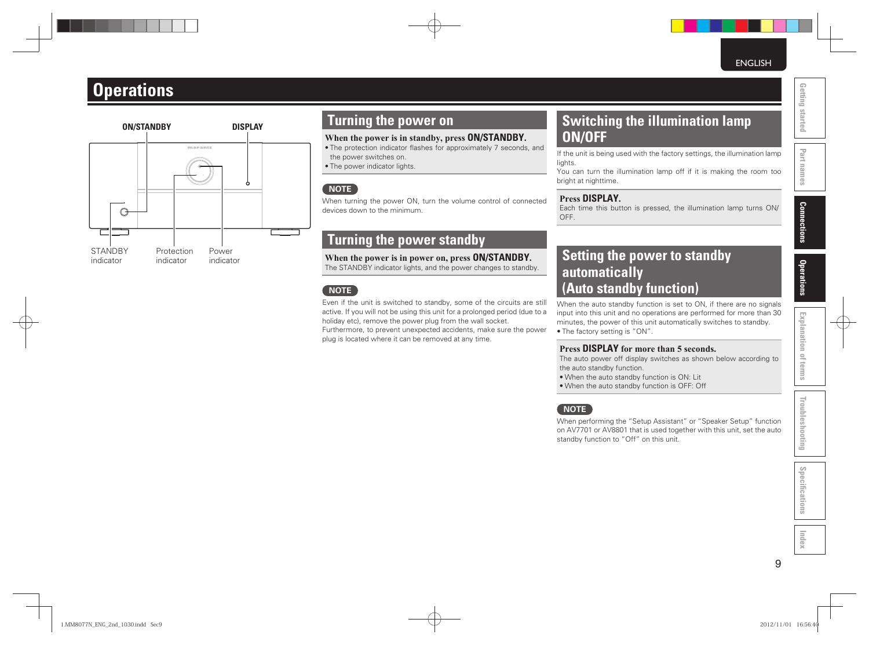## **Operations**



### **Turning the power on**

### **When the power is in standby, press ON/STANDBY.**

- The protection indicator flashes for approximately 7 seconds, and the power switches on.
- The power indicator lights.

### **NOTE**

When turning the power ON, turn the volume control of connected devices down to the minimum.

### **Turning the power standby**

**When the power is in power on, press ON/STANDBY.** The STANDBY indicator lights, and the power changes to standby.

### **NOTE**

Even if the unit is switched to standby, some of the circuits are still active. If you will not be using this unit for a prolonged period (due to a holiday etc), remove the power plug from the wall socket. Furthermore, to prevent unexpected accidents, make sure the power plug is located where it can be removed at any time.

### **Switching the illumination lamp ON/OFF**

If the unit is being used with the factory settings, the illumination lamp lights.

You can turn the illumination lamp off if it is making the room too bright at nighttime.

### **Press DISPLAY.**

Each time this button is pressed, the illumination lamp turns ON/ OFF.

### **Setting the power to standby automatically ( Auto standby function)**

When the auto standby function is set to ON, if there are no signals input into this unit and no operations are performed for more than 30 minutes, the power of this unit automatically switches to standby.

• The factory setting is "ON".

### **Press DISPLAY for more than 5 seconds.**

The auto power off display switches as shown below according to the auto standby function.

- When the auto standby function is ON: Lit
- When the auto standby function is OFF: Off

### **NOTE**

When performing the "Setup Assistant" or "Speaker Setup" function on AV7701 or AV8801 that is used together with this unit, set the auto standby function to "Off" on this unit.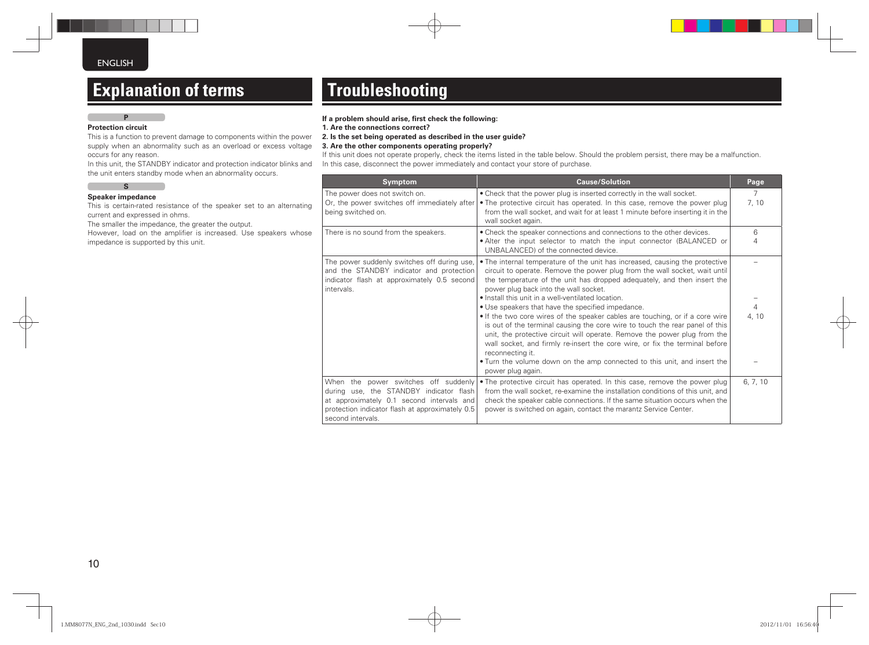## **Explanation of terms**

### **P**

**Protection circuit**

This is a function to prevent damage to components within the power supply when an abnormality such as an overload or excess voltage occurs for any reason.

In this unit, the STANDBY indicator and protection indicator blinks and the unit enters standby mode when an abnormality occurs.

#### **S Speaker impedance**

This is certain-rated resistance of the speaker set to an alternating current and expressed in ohms.

The smaller the impedance, the greater the output.

However, load on the amplifier is increased. Use speakers whose impedance is supported by this unit.

## **Troubleshooting**

#### If a problem should arise, first check the following:

**1. Are the connections correct?**

**2. Is the set being operated as described in the user guide?**

**3. Are the other components operating properly?**

If this unit does not operate properly, check the items listed in the table below. Should the problem persist, there may be a malfunction. In this case, disconnect the power immediately and contact your store of purchase.

| <b>Symptom</b>                                                                                                                                                                                       | <b>Cause/Solution</b>                                                                                                                                                                                                                                                                                                                                                                                                                                                                                                                                                                                                                                                                                                                                                                                                                       | Page                    |
|------------------------------------------------------------------------------------------------------------------------------------------------------------------------------------------------------|---------------------------------------------------------------------------------------------------------------------------------------------------------------------------------------------------------------------------------------------------------------------------------------------------------------------------------------------------------------------------------------------------------------------------------------------------------------------------------------------------------------------------------------------------------------------------------------------------------------------------------------------------------------------------------------------------------------------------------------------------------------------------------------------------------------------------------------------|-------------------------|
| The power does not switch on.<br>Or, the power switches off immediately after<br>being switched on.                                                                                                  | • Check that the power plug is inserted correctly in the wall socket.<br>• The protective circuit has operated. In this case, remove the power plug<br>from the wall socket, and wait for at least 1 minute before inserting it in the<br>wall socket again.                                                                                                                                                                                                                                                                                                                                                                                                                                                                                                                                                                                | $\overline{7}$<br>7, 10 |
| There is no sound from the speakers.                                                                                                                                                                 | • Check the speaker connections and connections to the other devices.<br>. Alter the input selector to match the input connector (BALANCED or<br>UNBALANCED) of the connected device.                                                                                                                                                                                                                                                                                                                                                                                                                                                                                                                                                                                                                                                       | 6<br>4                  |
| The power suddenly switches off during use,<br>and the STANDBY indicator and protection<br>indicator flash at approximately 0.5 second<br>intervals.                                                 | • The internal temperature of the unit has increased, causing the protective<br>circuit to operate. Remove the power plug from the wall socket, wait until<br>the temperature of the unit has dropped adequately, and then insert the<br>power plug back into the wall socket.<br>. Install this unit in a well-ventilated location.<br>• Use speakers that have the specified impedance.<br>• If the two core wires of the speaker cables are touching, or if a core wire<br>is out of the terminal causing the core wire to touch the rear panel of this<br>unit, the protective circuit will operate. Remove the power plug from the<br>wall socket, and firmly re-insert the core wire, or fix the terminal before<br>reconnecting it.<br>• Turn the volume down on the amp connected to this unit, and insert the<br>power plug again. | $\overline{4}$<br>4, 10 |
| When the power switches off suddenly<br>during use, the STANDBY indicator flash<br>at approximately 0.1 second intervals and<br>protection indicator flash at approximately 0.5<br>second intervals. | • The protective circuit has operated. In this case, remove the power plug<br>from the wall socket, re-examine the installation conditions of this unit, and<br>check the speaker cable connections. If the same situation occurs when the<br>power is switched on again, contact the marantz Service Center.                                                                                                                                                                                                                                                                                                                                                                                                                                                                                                                               | 6, 7, 10                |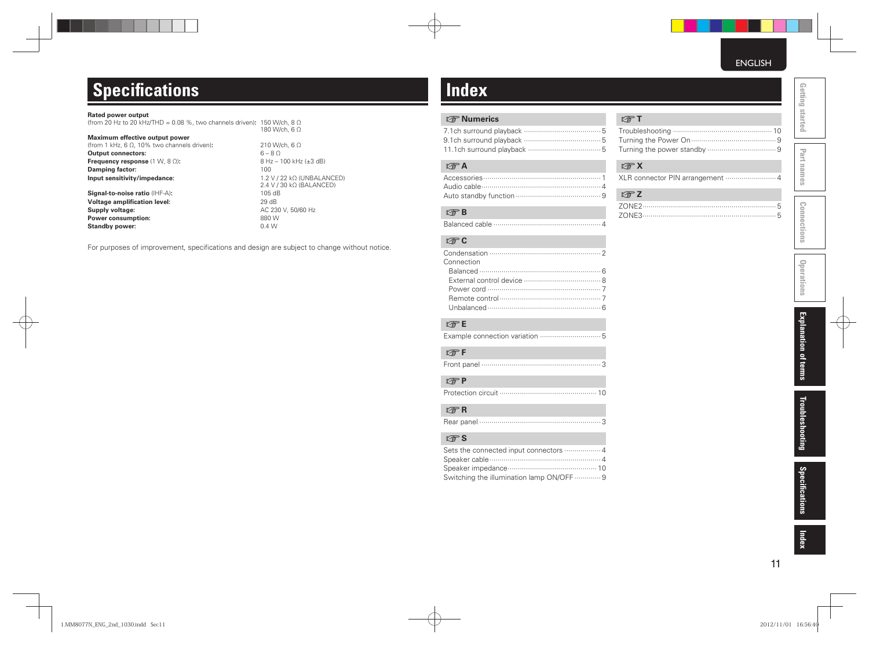## **Specifications**

#### **Rated power output**

| (from 20 Hz to 20 kHz/THD = 0.08 %, two channels driven): 150 W/ch, 8 $\Omega$ |               |
|--------------------------------------------------------------------------------|---------------|
|                                                                                | 180 W/ch, 6 Ω |

### **Maximum effective output power**

(from 1 kHz, 6 Ω, 10% two channels driven)**:** 210 W/ch, 6 Ω **Output connectors:** 6 – 8 Ω<br> **Frequency response** (1 W, 8 Ω): 8 Hz – 100 kHz (±3 dB) **Frequency response** (1 W, 8 Ω)**:** 8 Hz<br>**Damping factor:** 100 **Damping factor:**<br>Input sensitivity/impedance:

**Signal-to-noise ratio** (IHF-A)**:** 105 dB<br> **Voltage amplification level:** 29 dB **Voltage amplification level:**<br>Supply voltage: **Power consumption:** 880 W **Standby power:** 0.4 W

**Input sensitivity/impedance:** 1.2 V / 22 kΩ (UNBALANCED) 2.4 V / 30 kΩ (BALANCED) **Supply voltage:** AC 230 V, 50/60 Hz

For purposes of improvement, specifications and design are subject to change without notice.

## **Index**

### **v<sub></sub>** $\mathbb{F}$  Numerics

### v**A**

### v**B**

Balanced cable ····················································· 4

### v**C**

| Connection |
|------------|
|            |
|            |
|            |
|            |
|            |

### v**E**

|--|--|--|--|

### v**F**

|--|--|--|

### v**P**

|--|--|--|--|--|

### v**R**

|--|--|--|

### v**S**

| Switching the illumination lamp ON/OFF  9 |
|-------------------------------------------|

### v**T**

Troubleshooting ················································· 10 Turning the Power On ·········································· 9 Turning the power standby ·································· 9

### v**X**

|--|--|--|

| $F \rightarrow Z$ |  |
|-------------------|--|
|                   |  |
|                   |  |

**Part names Getting started**

Part names

Getting started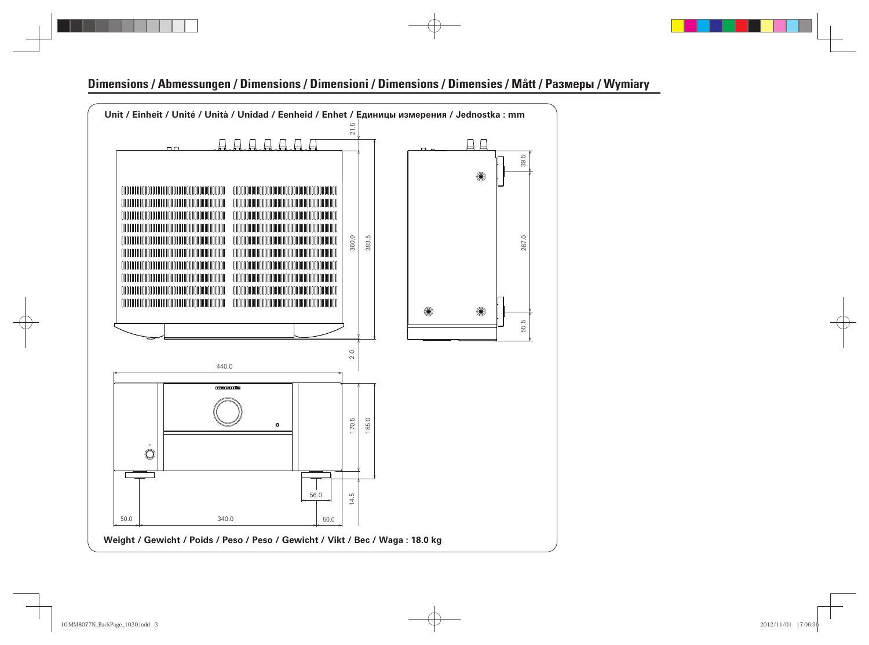### **Dimensions / Abmessungen / Dimensions / Dimensioni / Dimensions / Dimensies / Mått / Размеры / Wymiary**